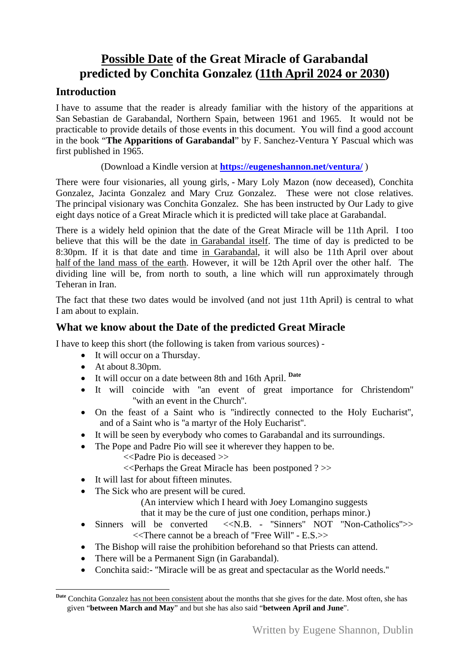# **Possible Date of the Great Miracle of Garabandal predicted by Conchita Gonzalez (11th April 2024 or 2030)**

## **Introduction**

I have to assume that the reader is already familiar with the history of the apparitions at San Sebastian de Garabandal, Northern Spain, between 1961 and 1965. It would not be practicable to provide details of those events in this document. You will find a good account in the book "**The Apparitions of Garabandal**" by F. Sanchez-Ventura Y Pascual which was first published in 1965.

#### (Download a Kindle version at **<https://eugeneshannon.net/ventura/>** )

There were four visionaries, all young girls, - Mary Loly Mazon (now deceased), Conchita Gonzalez, Jacinta Gonzalez and Mary Cruz Gonzalez. These were not close relatives. The principal visionary was Conchita Gonzalez. She has been instructed by Our Lady to give eight days notice of a Great Miracle which it is predicted will take place at Garabandal.

There is a widely held opinion that the date of the Great Miracle will be 11th April. I too believe that this will be the date in Garabandal itself. The time of day is predicted to be 8:30pm. If it is that date and time in Garabandal, it will also be 11th April over about half of the land mass of the earth. However, it will be 12th April over the other half. The dividing line will be, from north to south, a line which will run approximately through Teheran in Iran.

The fact that these two dates would be involved (and not just 11th April) is central to what I am about to explain.

### **What we know about the Date of the predicted Great Miracle**

I have to keep this short (the following is taken from various sources) -

- It will occur on a Thursday.
- At about 8.30pm.

l

- It will occur on a date between 8th and 16th April. **[Date](#page-0-0)**
- [It will coincide with ''an event of great imp](#page-0-0)ortance for Christendom'' ''with an event in the Church''.
- On the feast of a Saint who is "indirectly connected to the Holy Eucharist", and of a Saint who is ''a martyr of the Holy Eucharist''.
- It will be seen by everybody who comes to Garabandal and its surroundings.
- The Pope and Padre Pio will see it wherever they happen to be.
	- <<Padre Pio is deceased >>
	- <<Perhaps the Great Miracle has been postponed ? >>
- It will last for about fifteen minutes.
- The Sick who are present will be cured.
	- (An interview which I heard with Joey Lomangino suggests
	- that it may be the cure of just one condition, perhaps minor.)
- Sinners will be converted  $\langle \langle N, B \rangle$  "Sinners" NOT "Non-Catholics">> <<There cannot be a breach of ''Free Will'' - E.S.>>
- The Bishop will raise the prohibition beforehand so that Priests can attend.
- There will be a Permanent Sign (in Garabandal).
- Conchita said:- ''Miracle will be as great and spectacular as the World needs.''

<span id="page-0-0"></span>**Date** Conchita Gonzalez has not been consistent about the months that she gives for the date. Most often, she has given "**between March and May**" and but she has also said "**between April and June**".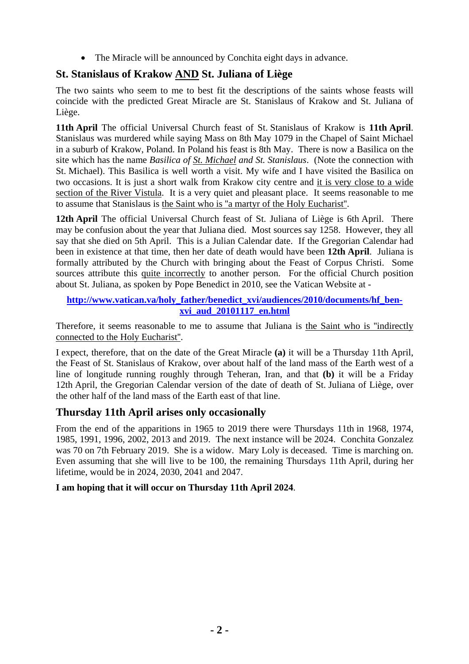• The Miracle will be announced by Conchita eight days in advance.

# **St. Stanislaus of Krakow AND St. Juliana of Liège**

The two saints who seem to me to best fit the descriptions of the saints whose feasts will coincide with the predicted Great Miracle are St. Stanislaus of Krakow and St. Juliana of Liège.

**11th April** The official Universal Church feast of St. Stanislaus of Krakow is **11th April**. Stanislaus was murdered while saying Mass on 8th May 1079 in the Chapel of Saint Michael in a suburb of Krakow, Poland. In Poland his feast is 8th May. There is now a Basilica on the site which has the name *Basilica of St. Michael and St. Stanislaus*. (Note the connection with St. Michael). This Basilica is well worth a visit. My wife and I have visited the Basilica on two occasions. It is just a short walk from Krakow city centre and it is very close to a wide section of the River Vistula. It is a very quiet and pleasant place. It seems reasonable to me to assume that Stanislaus is the Saint who is ''a martyr of the Holy Eucharist''.

**12th April** The official Universal Church feast of St. Juliana of Liège is 6th April. There may be confusion about the year that Juliana died. Most sources say 1258. However, they all say that she died on 5th April. This is a Julian Calendar date. If the Gregorian Calendar had been in existence at that time, then her date of death would have been **12th April**. Juliana is formally attributed by the Church with bringing about the Feast of Corpus Christi. Some sources attribute this quite incorrectly to another person. For the official Church position about St. Juliana, as spoken by Pope Benedict in 2010, see the Vatican Website at -

#### **[http://www.vatican.va/holy\\_father/benedict\\_xvi/audiences/2010/documents/hf\\_ben](http://www.vatican.va/holy_father/benedict_xvi/audiences/2010/documents/hf_ben-xvi_aud_20101117_en.html)[xvi\\_aud\\_20101117\\_en.html](http://www.vatican.va/holy_father/benedict_xvi/audiences/2010/documents/hf_ben-xvi_aud_20101117_en.html)**

Therefore, it seems reasonable to me to assume that Juliana is the Saint who is "indirectly connected to the Holy Eucharist''.

I expect, therefore, that on the date of the Great Miracle **(a)** it will be a Thursday 11th April, the Feast of St. Stanislaus of Krakow, over about half of the land mass of the Earth west of a line of longitude running roughly through Teheran, Iran, and that **(b)** it will be a Friday 12th April, the Gregorian Calendar version of the date of death of St. Juliana of Liège, over the other half of the land mass of the Earth east of that line.

## **Thursday 11th April arises only occasionally**

From the end of the apparitions in 1965 to 2019 there were Thursdays 11th in 1968, 1974, 1985, 1991, 1996, 2002, 2013 and 2019. The next instance will be 2024. Conchita Gonzalez was 70 on 7th February 2019. She is a widow. Mary Loly is deceased. Time is marching on. Even assuming that she will live to be 100, the remaining Thursdays 11th April, during her lifetime, would be in 2024, 2030, 2041 and 2047.

#### **I am hoping that it will occur on Thursday 11th April 2024**.